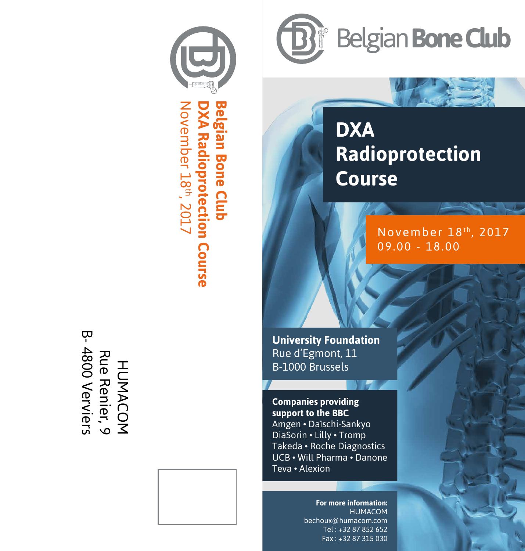

**DXA Radioprotection Course Belgian Bone Club** November 18 **Belgian Bone Club** Vovember 18<sup>th</sup>, 2017 **XA Radioprotection Course** 





## **DXA Radioprotection Colgian Bone Club**<br> **COVING**<br> **COUTSE**

November 18<sup>th</sup>, 2017 09.00 - 18.00

**University Foundation** Rue d'Egmont, 11 B-1000 Brussels

**Companies providing support to the BBC** Amgen • Daïschi-Sankyo DiaSorin • Lilly • Tromp Takeda • Roche Diagnostics UCB • Will Pharma • Danone Teva • Alexion

> **For more information:** HUMACOM bechoux@humacom.com Tel : +32 87 852 652 Fax : +32 87 315 030